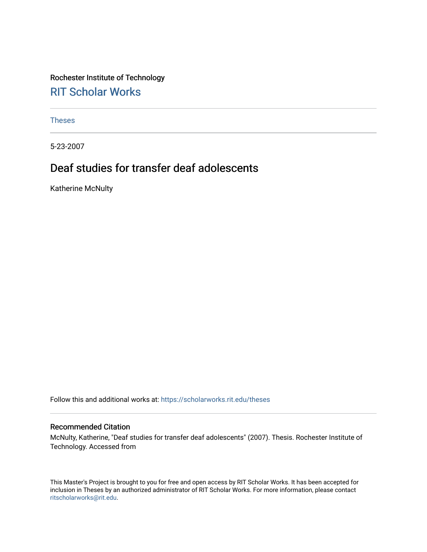Rochester Institute of Technology [RIT Scholar Works](https://scholarworks.rit.edu/)

[Theses](https://scholarworks.rit.edu/theses) 

5-23-2007

# Deaf studies for transfer deaf adolescents

Katherine McNulty

Follow this and additional works at: [https://scholarworks.rit.edu/theses](https://scholarworks.rit.edu/theses?utm_source=scholarworks.rit.edu%2Ftheses%2F3978&utm_medium=PDF&utm_campaign=PDFCoverPages) 

#### Recommended Citation

McNulty, Katherine, "Deaf studies for transfer deaf adolescents" (2007). Thesis. Rochester Institute of Technology. Accessed from

This Master's Project is brought to you for free and open access by RIT Scholar Works. It has been accepted for inclusion in Theses by an authorized administrator of RIT Scholar Works. For more information, please contact [ritscholarworks@rit.edu](mailto:ritscholarworks@rit.edu).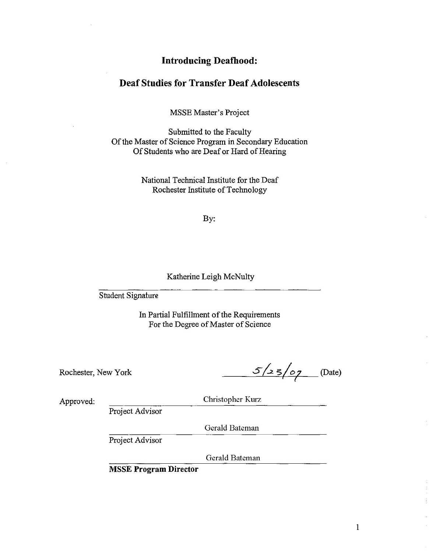## **Introducing Deafhood:**

## **Deaf Studies for Transfer Deaf Adolescents**

MSSE Master's Project

Submitted to the Faculty Of the Master of Science Program in Secondary Education Of Students who are Deaf or Hard of Hearing

> National Technical Institute for the Deaf Rochester Institute of Technology

> > By:

### Katherine Leigh McNulty

Student Signature

In Partial Fulfillment of the Requirements For the Degree of Master of Science

Rochester, New York

 $5/23/07$  (Date)

Approved:

Christopher Kurz

Project Advisor

Gerald Bateman

Project Advisor

Gerald Bateman

**MSSE Program Director**

I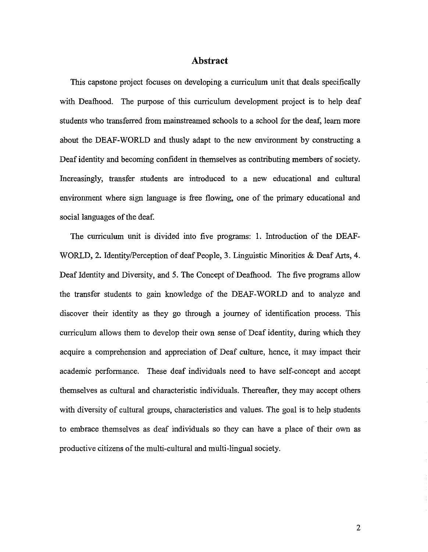### **Abstract**

This capstone project focuses on developing a curriculum unit that deals specifically with Deafhood. The purpose of this curriculum development project is to help deaf students who transferred from mainstreamed schools to a school for the deaf, leam more about the DEAF-WORLD and thusly adapt to the new environment by constructing a Deaf identity and becoming confident in themselves as contributing members of society. Increasingly, transfer students are introduced to a new educational and cultural environment where sign language is free flowing, one of the primary educational and social languages of the deaf.

The curriculum unit is divided into five programs: 1. Introduction of the DEAF-WORLD, 2. Identity/Perception of deaf People, 3. Linguistic Minorities & Deaf Arts, 4. Deafidentity and Diversity, and 5. The Concept of Deafhood. The five programs allow the transfer students to gain knowledge of the DEAF-WORLD and to analyze and discover their identity as they go through a journey of identification process. This curriculum allows them to develop their own sense of Deaf identity, during which they acquire a comprehension and appreciation of Deaf culture, hence, it may impact their academic performance. These deaf individuals need to have self-concept and accept themselves as cultural and characteristic individuals. Thereafter, they may accept others with diversity of cultural groups, characteristics and values. The goal is to help students to embrace themselves as deaf individuals so they can have a place of their own as productive citizens of the multi-cultural and multi-lingual society.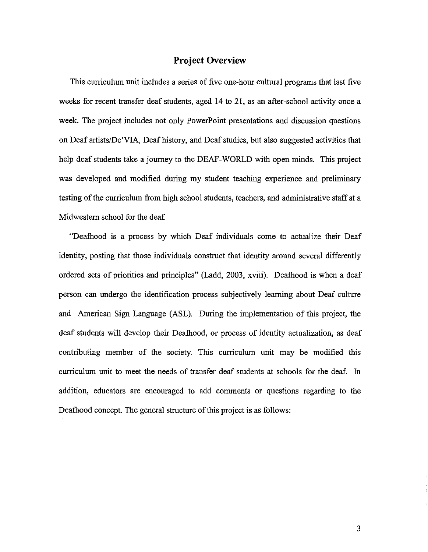## **Project Overview**

This curriculum unit includes a series of five one-hour cultural programs that last five weeks for recent transfer deaf students, aged 14 to 21, as an after-school activity once a week. The project includes not only PowerPoint presentations and discussion questions on Deaf artistslDe'VIA, Deaf history, and Deafstudies, but also suggested activities that help deaf students take a journey to the DEAF-WORLD with open minds. This project was developed and modified during my student teaching experience and preliminary testing of the curriculum from high school students, teachers, and administrative staff at a Midwestern school for the deaf.

"Deafhood is a process by which Deaf individuals come to actualize their Deaf identity, posting that those individuals construct that identity around several differently ordered sets of priorities and principles" (Ladd, 2003, xviii). Deafhood is when a deaf person can undergo the identification process subjectively learning about Deaf culture and American Sign Language (ASL). During the implementation of this project, the deaf students will develop their Deafhood, or process of identity actualization, as deaf contributing member of the society. This curriculum unit may be modified this curriculum unit to meet the needs of transfer deaf students at schools for the deaf. In addition, educators are encouraged to add comments or questions regarding to the Deafhood concept. The general structure of this project is as follows: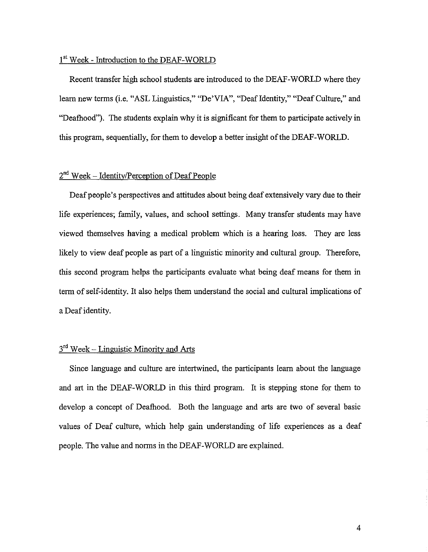### 1<sup>st</sup> Week - Introduction to the DEAF-WORLD

Recent transfer high school students are introduced to the DEAF-WORLD where they learn new terms (i.e. "ASL Linguistics," "De'VIA", "Deaf Identity," "Deaf Culture," and "Deafhood"). The students explain why it is significant for them to participate actively in this program, sequentially, for them to develop a better insight of the DEAF-WORLD.

## $2<sup>nd</sup> Week – Identity/Perception of Deaf People$

Deaf people's perspectives and attitudes about being deaf extensively vary due to their life experiences; family, values, and school settings. Many transfer students may have viewed themselves having a medical problem which is a hearing loss. They are less likely to view deaf people as part of a linguistic minority and cultural group. Therefore, this second program helps the participants evaluate what being deaf means for them in term ofself-identity. It also helps them understand the social and cultural implications of a Deaf identity.

## $3<sup>rd</sup>$  Week – Linguistic Minority and Arts

Since language and culture are intertwined, the participants learn about the language and art in the DEAF-WORLD in this third program. It is stepping stone for them to develop a concept of Deafhood. Both the language and arts are two of several basic values of Deaf culture, which help gain understanding of life experiences as a deaf people. The value and norms in the DEAF-WORLD are explained.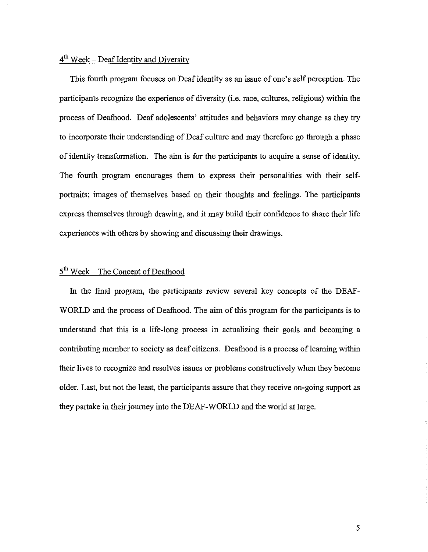## $4<sup>th</sup>$  Week – Deaf Identity and Diversity

This fourth program focuses on Deaf identity as an issue of one's self perception. The participants recognize the experience of diversity (i.e. race, cultures, religious) within the process of Deafhood. Deaf adolescents' attitudes and behaviors may change as they try to incorporate their understanding of Deaf culture and may therefore go through a phase of identity transformation. The aim is for the participants to acquire a sense of identity. The fourth program encourages them to express their personalities with their selfportraits; images of themselves based on their thoughts and feelings. The participants express themselves through drawing, and it may build their confidence to share their life experiences with others by showing and discussing their drawings.

# $5<sup>th</sup>$  Week - The Concept of Deafhood

In the final program, the participants review several key concepts of the DEAF-WORLD and the process of Deafhood. The aim of this program for the participants is to understand that this is a life-long process in actualizing their goals and becoming a contributing member to society as deaf citizens. Deafhood is a process of learning within their lives to recognize and resolves issues or problems constructively when they become older. Last, but not the least, the participants assure that they receive on-going support as they partake in their journey into the DEAF-WORLD and the world at large.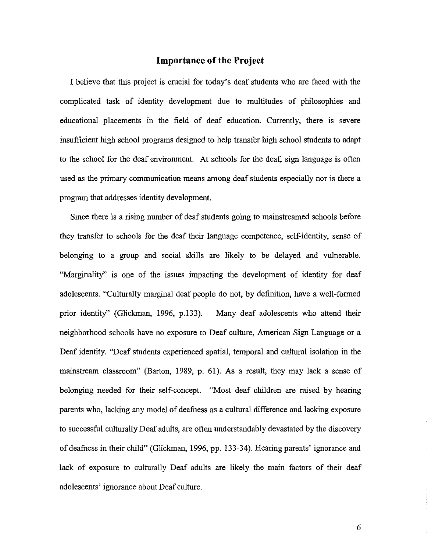### **Importance** of the **Project**

I believe that this project is crucial for today's deaf students who are faced with the complicated task of identity development due to multitudes of philosophies and educational placements in the field of deaf education. Currently, there is severe insufficient high school programs designed to help transfer high school students to adapt to the school for the deaf environment. At schools for the deaf, sign language is often used as the primary communication means among deafstudents especially nor is there a program that addresses identity development.

Since there is a rising number of deaf students going to mainstreamed schools before they transfer to schools for the deaf their language competence, self-identity, sense of belonging to a group and social skills are likely to be delayed and vulnerable. "Marginality" is one of the issues impacting the development of identity for deaf adolescents. "Culturally marginal deaf people do not, by definition, have a well-formed prior identity" (Glickman, 1996, p.133). Many deaf adolescents who attend their neighborhood schools have no exposure to Deaf culture, American Sign Language or a Deaf identity. "Deaf students experienced spatial, temporal and cultural isolation in the mainstream classroom" (Barton, 1989, p. 61). As a result, they may lack a sense of belonging needed for their self-concept. "Most deaf children are raised by hearing parents who, lacking any model of deafness as a cultural difference and lacking exposure to successful culturally Deaf adults, are often understandably devastated by the discovery of deafuess in their child" (Glickman, 1996, pp. 133-34). Hearing parents' ignorance and lack of exposure to culturally Deaf adults are likely the main factors of their deaf adolescents' ignorance about Deaf culture.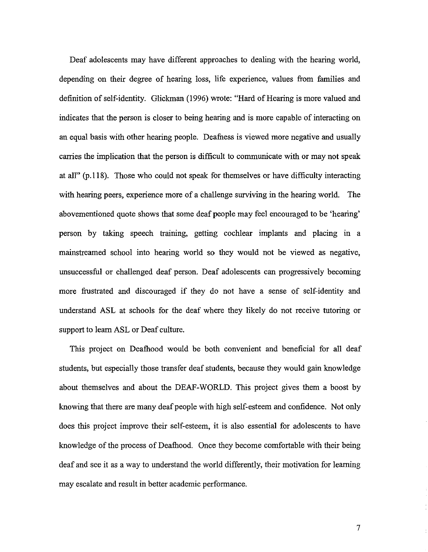Deaf adolescents may have different approaches to dealing with the hearing world, depending on their degree of hearing loss, life experience, values from families and definition of self-identity. Glickman (1996) wrote: "Hard of Hearing is more valued and indicates that the person is closer to being hearing and is more capable of interacting on an equal basis with other hearing people. Deafness is viewed more negative and usually carries the implication that the person is difficult to communicate with or may not speak at all" (p.118). Those who could not speak for themselves or have difficulty interacting with hearing peers, experience more of a challenge surviving in the hearing world. The abovementioned quote shows that some deaf people may feel encouraged to be 'hearing' person by taking speech training, getting cochlear implants and placing in a mainstreamed school into hearing world so they would not be viewed as negative, unsuccessful or challenged deaf person. Deaf adolescents can progressively becoming more frustrated and discouraged if they do not have a sense of self-identity and understand ASL at schools for the deaf where they likely do not receive tutoring or support to learn ASL or Deaf culture.

This project on Deafhood would be both convenient and beneficial for all deaf students, but especially those transfer deaf students, because they would gain knowledge about themselves and about the DEAF-WORLD. This project gives them a boost by knowing that there are many deaf people with high self-esteem and confidence. Not only does this project improve their self-esteem, it is also essential for adolescents to have knowledge of the process of Deafhood. Once they become comfortable with their being deaf and see it as a way to understand the world differently, their motivation for learning may escalate and result in better academic performance.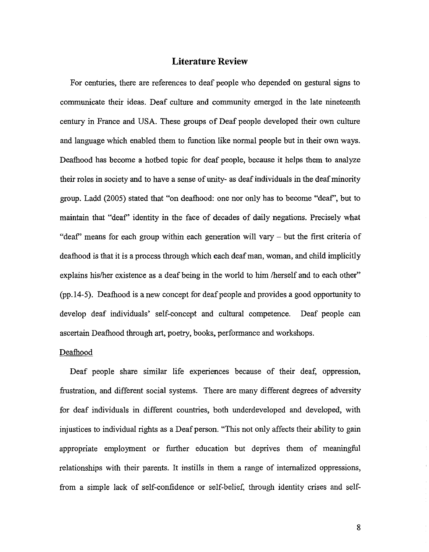## **Literature Review**

For centuries, there are references to deaf people who depended on gestural signs to connnunicate their ideas. Deaf culture and connnunity emerged in the late nineteenth century in France and USA. These groups of Deaf people developed their own culture and language which enabled them to function like normal people but in their own ways. Deafhood has become a hotbed topic for deaf people, because it helps them to analyze their roles in society and to have a sense of unity- as deaf individuals in the deaf minority group. Ladd (2005) stated that "on deafhood: one nor only has to become "deaf', but to maintain that "deaf' identity in the face of decades of daily negations. Precisely what "deaf' means for each group within each generation will vary - but the first criteria of deafhood is that it is a process through which each deafman, woman, and child implicitly explains his/her existence as a deaf being in the world to him /herself and to each other" (pp.14-5). Deafhood is a new concept for deafpeople and provides a good opportunity to develop deaf individuals' self-concept and cultural competence. Deaf people can ascertain Deafhood through art, poetry, books, performance and workshops.

#### Deafhood

Deaf people share similar life experiences because of their deaf, oppression, frustration, and different social systems. There are many different degrees of adversity for deaf individuals in different countries, both underdeveloped and developed, with injustices to individual rights as a Deaf person. "This not only affects their ability to gain appropriate employment or further education but deprives them of meaningful relationships with their parents. It instills in them a range of internalized oppressions, from a simple lack of self-confidence or self-belief, through identity crises and self-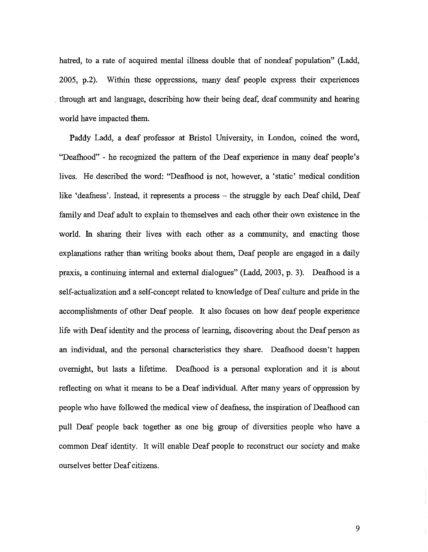hatred, to a rate of acquired mental illness double that of nondeaf population" (Ladd, 2005, p.2). Within these oppressions, many deaf people express their experiences . through art and language, describing how their being deaf, deaf community and hearing world have impacted them.

Paddy Ladd, a deaf professor at Bristol University, in London, coined the word, "Deafhood" - he recognized the pattern of the Deaf experience in many deaf people's lives. He described the word: "Deafhood is not, however, a 'static' medical condition like 'deafness'. Instead, it represents a process - the struggle by each Deaf child, Deaf family and Deaf adult to explain to themselves and each other their own existence in the world. In sharing their lives with each other as a community, and enacting those explanations rather than writing books about them, Deaf people are engaged in a daily praxis, a continuing internal and external dialogues" (Ladd, 2003, p. 3). Deafhood is a self-actualization and a self-concept related to knowledge of Deaf culture and pride in the accomplishments of other Deaf people. It also focuses on how deaf people experience life with Deaf identity and the process of learning, discovering about the Deaf person as an individual, and the personal characteristics they share. Deafhood doesn't happen overnight, but lasts a lifetime. Deafhood is a personal exploration and it is about reflecting on what it means to be a Deaf individual. After many years of oppression by people who have followed the medical view of deafness, the inspiration of Deafhood can pull Deaf people back together as one big group of diversities people who have a common Deaf identity. It will enable Deaf people to reconstruct our society and make ourselves better Deaf citizens.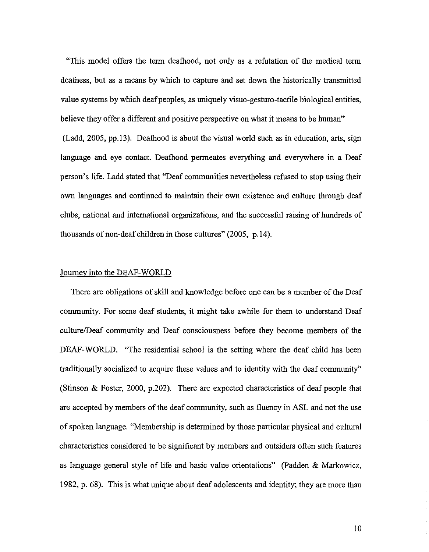"This model offers the term deafhood, not only as a refutation of the medical term deafness, but as a means by which to capture and set down the historically transmitted value systems by which deaf peoples, as uniquely visuo-gesturo-tactile biological entities, believe they offer a different and positive perspective on what it means to be human" (Ladd, 2005, pp.l3). Deafhood is about the visual world such as in education, arts, sign language and eye contact. Deafhood permeates everything and everywhere in a Deaf person's life. Ladd stated that "Deaf communities nevertheless refused to stop using their own languages and continued to maintain their own existence and culture through deaf clubs, national and international organizations, and the successful raising of hundreds of thousands of non-deaf children in those cultures" (2005, p.14).

#### Journey into the DEAF-WORLD

There are obligations of skill and knowledge before one can be a member of the Deaf community. For some deaf students, it might take awhile for them to understand Deaf culture/Deaf community and Deaf consciousness before they become members of the DEAF-WORLD. "The residential school is the setting where the deaf child has been traditionally socialized to acquire these values and to identity with the deaf community" (Stinson & Foster, 2000, p.202). There are expected characteristics of deaf people that are accepted by members of the deaf community, such as fluency in ASL and not the use of spoken language. "Membership is determined by those particular physical and cultural characteristics considered to be significant by members and outsiders often such features as language general style of life and basic value orientations" (padden & Markowicz, 1982, p. 68). This is what unique about deaf adolescents and identity; they are more than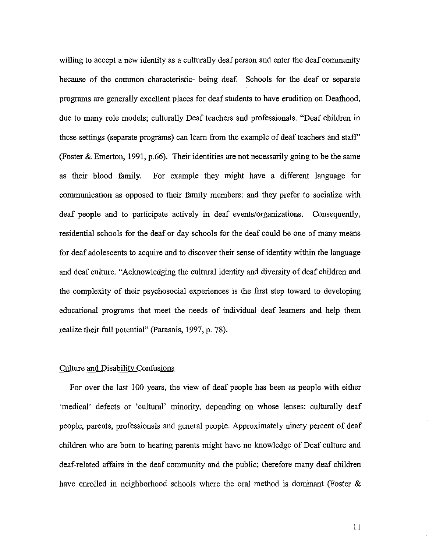willing to accept a new identity as a culturally deaf person and enter the deaf community because of the common characteristic- being deaf. Schools for the deaf or separate programs are generally excellent places for deaf students to have erudition on Deafhood, due to many role models; culturally Deaf teachers and professionals. "Deaf children in these settings (separate programs) can learn from the example of deaf teachers and staff' (Foster & Emerton, 1991, p.66). Their identities are not necessarily going to be the same as their blood family. For example they might have a different language for communication as opposed to their family members: and they prefer to socialize with deaf people and to participate actively in deaf events/organizations. Consequently, residential schools for the deaf or day schools for the deaf could be one of many means for deaf adolescents to acquire and to discover their sense of identity within the language and deaf culture. "Acknowledging the cultural identity and diversity of deaf children and the complexity of their psychosocial experiences is the first step toward to developing educational programs that meet the needs of individual deaf learners and help them realize their full potential" (Parasnis, 1997, p. 78).

#### Culture and Disability Confusions

For over the last 100 years, the view of deaf people has been as people with either 'medical' defects or 'cultural' minority, depending on whose lenses: culturally deaf people, parents, professionals and general people. Approximately ninety percent of deaf children who are born to hearing parents might have no knowledge of Deaf culture and deaf-related affairs in the deaf community and the public; therefore many deaf children have emolled in neighborhood schools where the oral method is dominant (Foster &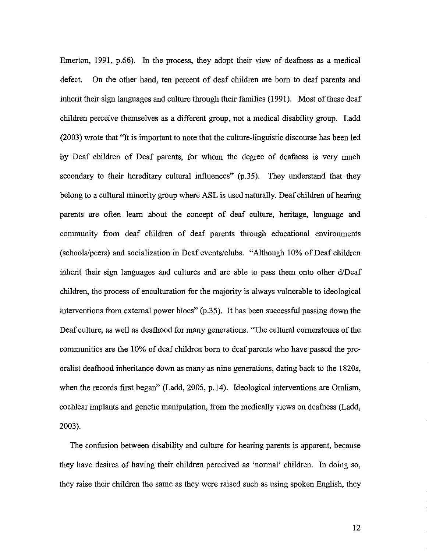Emerton, 1991, p.66). In the process, they adopt their view of deafness as a medical defect. On the other hand, ten percent of deaf children are born to deaf parents and inherit their sign languages and culture through their families (1991). Most of these deaf children perceive themselves as a different group, not a medical disability group. Ladd (2003) wrote that "It is important to note that the culture-linguistic discourse has been led by Deaf children of Deaf parents, for whom the degree of deafness is very much secondary to their hereditary cultural influences" (p.35). They understand that they belong to a cultural minority group where ASL is used naturally. Deaf children of hearing parents are often learn about the concept of deaf culture, heritage, language and community from deaf children of deaf parents through educational environments (schools/peers) and socialization in Deaf events/clubs. "Although 10% of Deaf children inherit their sign languages and cultures and are able to pass them onto other d/Deaf children, the process of enculturation for the majority is always vulnerable to ideological interventions from external power blocs" (p.35). It has been successful passing down the Deaf culture, as well as deafhood for many generations. "The cultural cornerstones of the communities are the 10% of deaf children born to deaf parents who have passed the preoralist deafhood inheritance down as many as nine generations, dating back to the 1820s, when the records first began" (Ladd, 2005, p.14). Ideological interventions are Oralism, cochlear implants and genetic manipulation, from the medically views on deafness (Ladd, 2003).

The confusion between disability and culture for hearing parents is apparent, because they have desires of having their children perceived as 'normal' children. In doing so, they raise their children the same as they were raised such as using spoken English, they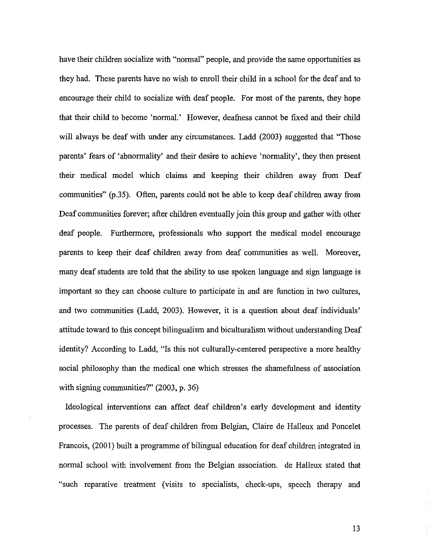have their children socialize with "normal" people, and provide the same opportunities as they had. These parents have no wish to enroll their child in a school for the deaf and to encourage their child to socialize with deaf people. For most of the parents, they hope that their child to become 'normal.' However, deafuess cannot be fixed and their child will always be deaf with under any circumstances. Ladd (2003) suggested that "Those parents' fears of 'abnormality' and their desire to achieve 'normality', they then present their medical model which claims and keeping their children away from Deaf communities" (p.35). Often, parents could not be able to keep deaf children away from Deaf communities forever; after children eventually join this group and gather with other deaf people. Furthermore, professionals who support the medical model encourage parents to keep their deaf children away from deaf communities as well. Moreover, many deaf students are told that the ability to use spoken language and sign language is important so they can choose culture to participate in and are function in two cultures, and two communities (Ladd, 2003). However, it is a question about deaf individuals' attitude toward to this concept bilingualism and biculturalism without understanding Deaf identity? According to Ladd, "Is this not culturally-centered perspective a more healthy social philosophy than the medical one which stresses the shamefulness of association with signing communities?" (2003, p. 36)

Ideological interventions can affect deaf children's early development and identity processes. The parents of deaf children from Belgian, Claire de Halleux and Poncelet Francois, (200I) built a programme of bilingual education for deaf children integrated in normal school with involvement from the Belgian association. de Halleux stated that "such reparative treatment (visits to specialists, check-ups, speech therapy and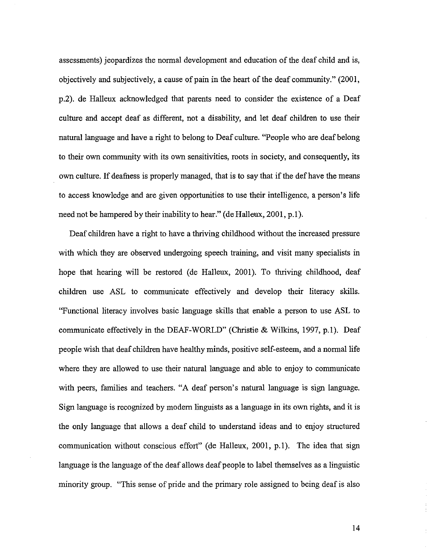assessments) jeopardizes the normal development and education of the deaf child and is, objectively and subjectively, a cause of pain in the heart of the deaf community." (2001, p.2). de Halleux acknowledged that parents need to consider the existence of a Deaf culture and accept deaf as different, not a disability, and let deaf children to use their natural language and have a right to belong to Deaf culture. "People who are deaf belong to their own community with its own sensitivities, roots in society, and consequently, its own culture. If deafness is properly managed, that is to say that if the def have the means to access knowledge and are given opportunities to use their intelligence, a person's life need not be hampered by their inability to hear." (de Halleux, 2001, p.l).

Deaf children have a right to have a thriving childhood without the increased pressure with which they are observed undergoing speech training, and visit many specialists in hope that hearing will be restored (de Halleux, 2001). To thriving childhood, deaf children use ASL to communicate effectively and develop their literacy skills. "Functional literacy involves basic language skills that enable a person to use ASL to communicate effectively in the DEAF-WORLD" (Christie & Wilkins, 1997, p.l). Deaf people wish that deaf children have healthy minds, positive self-esteem, and a normal life where they are allowed to use their natural language and able to enjoy to communicate with peers, families and teachers. "A deaf person's natural language is sign language. Sign language is recognized by modern linguists as a language in its own rights, and it is the only language that allows a deaf child to understand ideas and to enjoy structured communication without conscious effort" (de Halleux, 2001, p.l). The idea that sign language is the language of the deaf allows deaf people to label themselves as a linguistic minority group. "This sense of pride and the primary role assigned to being deaf is also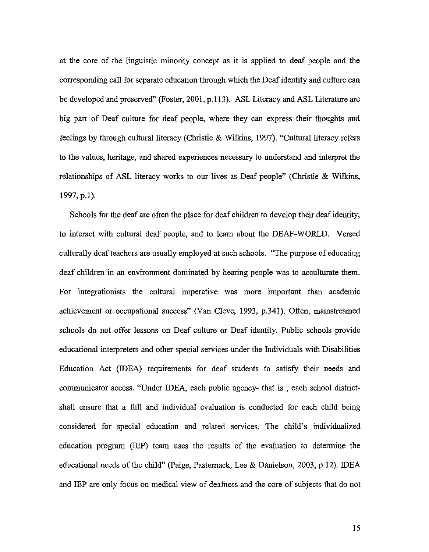at the core of the linguistic minority concept as it is applied to deaf people and the corresponding call for separate education through which the Deafidentity and culture can be developed and preserved" (Foster, 2001, p.113). ASL Literacy and ASL Literature are big part of Deaf culture for deaf people, where they can express their thoughts and feelings by through cultural literacy (Christie & Wilkins, 1997). "Cultural literacy refers to the values, heritage, and shared experiences necessary to understand and interpret the relationships of ASL literacy works to our lives as Deaf people" (Christie & Wilkins, 1997, p.1).

Schools for the deaf are often the place for deaf children to develop their deafidentity, to interact with cultural deaf people, and to learn about the DEAF-WORLD. Versed culturally deaf teachers are usually employed at such schools. "The purpose of educating deaf children in an environment dominated by hearing people was to acculturate them. For integrationists the cultural imperative was more important than academic achievement or occupational success" (Van Cleve, 1993, p.341). Often, mainstreamed schools do not offer lessons on Deaf culture or Deaf identity. Public schools provide educational interpreters and other special services under the Individuals with Disabilities Education Act (IDEA) requirements for deaf students to satisfy their needs and communicator access. "Under IDEA, each public agency- that is , each school districtshall ensure that a full and individual evaluation is conducted for each child being considered for special education and related services. The child's individualized education program (IEP) team uses the results of the evaluation to determine the educational needs of the child" (Paige, Pasternack, Lee & Danielson, 2003, p.I2). IDEA and IEP are only focus on medical view of deafness and the core of subjects that do not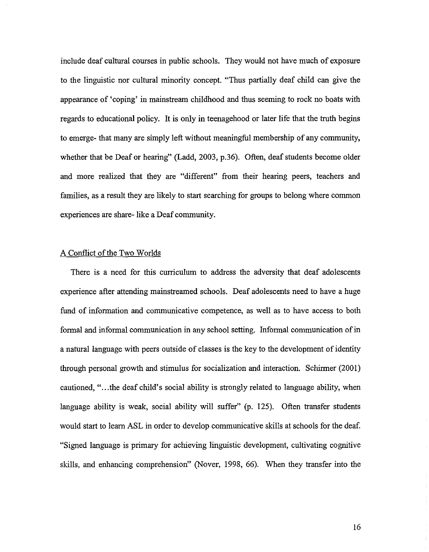include deaf cultural courses in public schools. They would not have much of exposure to the linguistic nor cultural minority concept. "Thus partially deaf child can give the appearance of 'coping' in mainstream childhood and thus seeming to rock no boats with regards to educational policy. It is only in teenagehood or later life that the truth begins to emerge- that many are simply left without meaningful membership of any community, whether that be Deaf or hearing" (Ladd, 2003, p.36). Often, deaf students become older and more realized that they are "different" from their hearing peers, teachers and families, as a result they are likely to start searching for groups to belong where common experiences are share- like a Deaf community.

#### A Conflict of the Two Worlds

There is a need for this curriculum to address the adversity that deaf adolescents experience after attending mainstreamed schools. Deaf adolescents need to have a huge fund of information and communicative competence, as well as to have access to both formal and informal communication in any school setting. Informal communication of in a natural language with peers outside of classes is the key to the development of identity through personal growth and stimulus for socialization and interaction. Schirmer (200I) cautioned, "...the deaf child's social ability is strongly related to language ability, when language ability is weak, social ability will suffer" (p. 125). Often transfer students would start to learn ASL in order to develop communicative skills at schools for the deaf. "Signed language is primary for achieving linguistic development, cultivating cognitive skills, and enhancing comprehension" (Nover, 1998, 66). When they transfer into the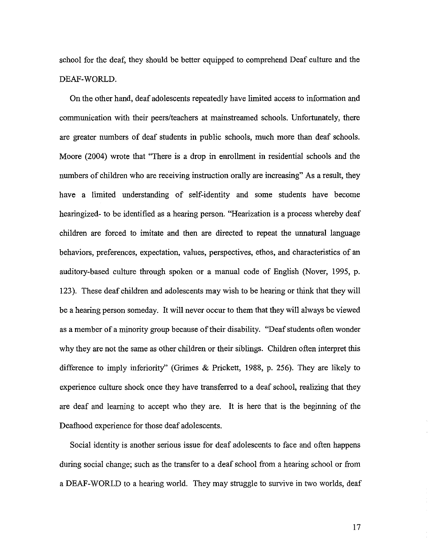school for the deaf, they should be better equipped to comprehend Deaf culture and the DEAF-WORLD.

On the other hand, deaf adolescents repeatedly have limited access to information and communication with their peers/teachers at mainstreamed schools. Unfortunately, there are greater numbers of deaf students in public schools, much more than deaf schools. Moore (2004) wrote that "There is a drop in enrollment in residential schools and the numbers of children who are receiving instruction orally are increasing" As a result, they have a limited understanding of self-identity and some students have become hearingized- to be identified as a hearing person. "Hearization is a process whereby deaf children are forced to imitate and then are directed to repeat the unnatural language behaviors, preferences, expectation, values, perspectives, ethos, and characteristics of an auditory-based culture through spoken or a manual code of English (Nover, 1995, p. 123). These deaf children and adolescents may wish to be hearing or think that they will be a hearing person someday. It will never occur to them that they will always be viewed as a member of a minority group because of their disability. "Deaf students often wonder why they are not the same as other children or their siblings. Children often interpret this difference to imply inferiority" (Grimes & Prickett, 1988, p. 256). They are likely to experience culture shock once they have transferred to a deaf school, realizing that they are deaf and learning to accept who they are. It is here that is the beginning of the Deafhood experience for those deaf adolescents.

Social identity is another serious issue for deaf adolescents to face and often happens during social change; such as the transfer to a deaf school from a hearing school or from a DEAF-WORLD to a hearing world. They may struggle to survive in two worlds, deaf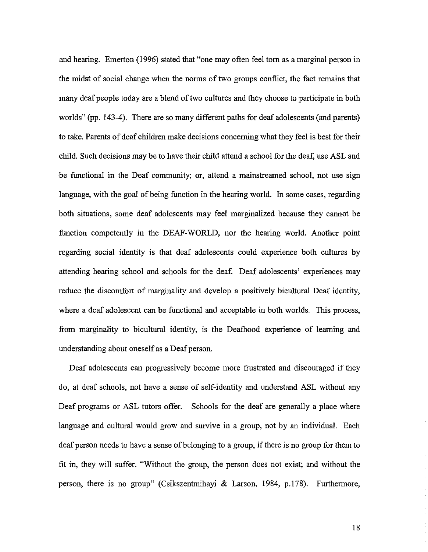and hearing. Emerton (1996) stated that "one may often feel tom as a marginal person in the midst of social change when the norms of two groups conflict, the fact remains that many deaf people today are a blend of two cultures and they choose to participate in both worlds" (pp. 143-4). There are so many different paths for deaf adolescents (and parents) to take. Parents of deaf children make decisions concerning what they feel is best for their child. Such decisions may be to have their child attend a school for the deaf, use ASL and be functional in the Deaf community; or, attend a mainstreamed school, not use sign language, with the goal of being function in the hearing world. In some cases, regarding both situations, some deaf adolescents may feel marginalized because they cannot be function competently in the DEAF-WORLD, nor the hearing world. Another point regarding social identity is that deaf adolescents could experience both cultures by attending hearing school and schools for the deaf. Deaf adolescents' experiences may reduce the discomfort of marginality and develop a positively bicultural Deaf identity, where a deaf adolescent can be functional and acceptable in both worlds. This process, from marginality to bicultural identity, is the Deafhood experience of learning and understanding about oneself as a Deaf person.

Deaf adolescents can progressively become more frustrated and discouraged if they do, at deaf schools, not have a sense of self-identity and understand ASL without any Deaf programs or ASL tutors offer. Schools for the deaf are generally a place where language and cultural would grow and survive in a group, not by an individual. Each deaf person needs to have a sense of belonging to a group, if there is no group for them to fit in, they will suffer. "Without the group, the person does not exist; and without the person, there is no group" (Csikszentmihayi & Larson, 1984, p.178). Furthermore,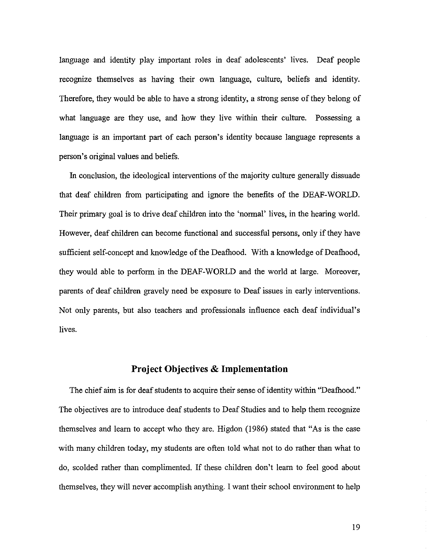language and identity play important roles in deaf adolescents' lives. Deaf people recognize themselves as having their own language, culture, beliefs and identity. Therefore, they would be able to have a strong identity, a strong sense of they belong of what language are they use, and how they live within their culture. Possessing a language is an important part of each person's identity because language represents a person's original values and beliefs.

In conclusion, the ideological interventions of the majority culture generally dissuade that deaf children from participating and ignore the benefits of the DEAF-WORLD. Their primary goal is to drive deaf children into the 'normal' lives, in the hearing world. However, deaf children can become functional and successful persons, only if they have sufficient self-concept and knowledge of the Deafhood. With a knowledge of Deafhood, they would able to perform in the DEAF-WORLD and the world at large. Moreover, parents of deaf children gravely need be exposure to Deaf issues in early interventions. Not only parents, but also teachers and professionals influence each deaf individual's lives.

## **Project Objectives & Implementation**

The chief aim is for deaf students to acquire their sense of identity within "Deafhood." The objectives are to introduce deaf students to Deaf Studies and to help them recognize themselves and learn to accept who they are. Higdon (1986) stated that "As is the case with many children today, my students are often told what not to do rather than what to do, scolded rather than complimented. If these children don't learn to feel good about themselves, they will never accomplish anything. I want their school environment to help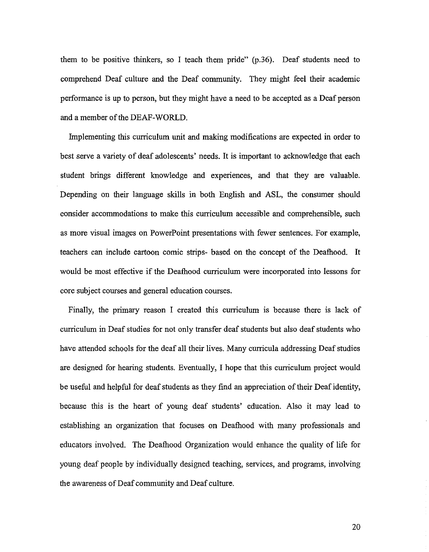them to be positive thinkers, so I teach them pride" (p.36). Deaf students need to comprehend Deaf culture and the Deaf community. They might feel their academic performance is up to person, but they might have a need to be accepted as a Deaf person and a member of the DEAF-WORLD.

Implementing this curriculum unit and making modifications are expected in order to best serve a variety of deaf adolescents' needs. It is important to acknowledge that each student brings different knowledge and experiences, and that they are valuable. Depending on their language skills in both English and ASL, the consumer should consider accommodations to make this curriculum accessible and comprehensible, such as more visual images on PowerPoint presentations with fewer sentences. For example, teachers can include cartoon comic strips- based on the concept of the Deafhood. It would be most effective if the Deafhood curriculum were incorporated into lessons for core subject courses and general education courses.

Finally, the primary reason I created this curriculum is because there is lack of curriculum in Deaf studies for not only transfer deaf students but also deaf students who have attended schools for the deaf all their lives. Many curricula addressing Deaf studies are designed for hearing students. Eventually, I hope that this curriculum project would be useful and helpful for deaf students as they find an appreciation of their Deaf identity, because this is the heart of young deaf students' education. Also it may lead to establishing an organization that focuses on Deafhood with many professionals and educators involved. The Deafhood Organization would enhance the quality of life for young deaf people by individually designed teaching, services, and programs, involving the awareness of Deaf community and Deaf culture.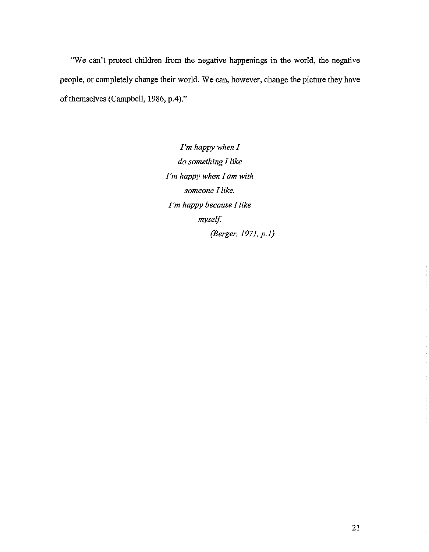"We can't protect children from the negative happenings in the world, the negative people, or completely change their world. We can, however, change the picture they have of themselves (Campbell, 1986, p.4)."

> *I'm happy when I do something I like I'm happy when I am with someone I like. I'm happy because I like myself. (Berger, 1971, p.l)*

é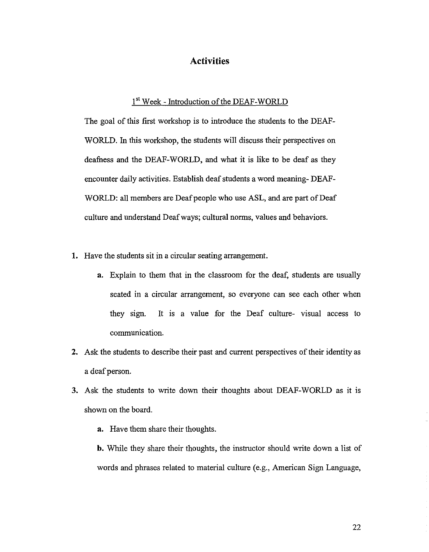## **Activities**

## 1st Week - Introduction of the DEAF-WORLD

The goal of this first workshop is to introduce the students to the DEAF-WORLD. In this workshop, the students will discuss their perspectives on deafness and the DEAF-WORLD, and what it is like to be deaf as they encounter daily activities. Establish deafstudents a word meaning- DEAF-WORLD: all members are Deaf people who use ASL, and are part of Deaf culture and understand Deaf ways; cultural norms, values and behaviors.

- 1. Have the students sit in a circular seating arrangement.
	- a. Explain to them that in the classroom for the deaf, students are usually seated in a circular arrangement, so everyone can see each other when they sign. It is a value for the Deaf culture- visual access to communication.
- 2. Ask the students to describe their past and current perspectives of their identity as a deaf person.
- 3. Ask the students to write down their thoughts about DEAF-WORLD as it is shown on the board.
	- a. Have them share their thoughts.
	- b. While they share their thoughts, the instructor should write down a list of words and phrases related to material culture (e.g., American Sign Language,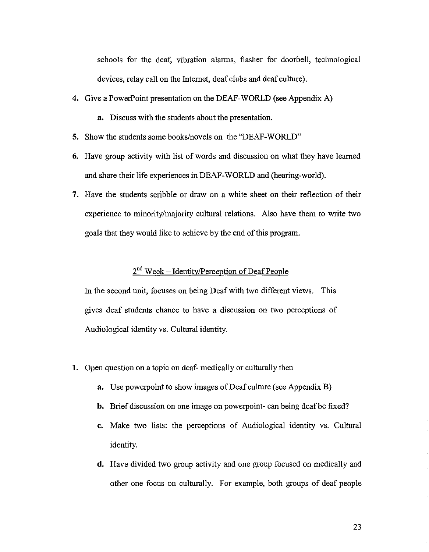schools for the deaf, vibration alarms, flasher for doorbell, technological devices, relay call on the Internet, deaf clubs and deaf culture).

- 4. Give a PowerPoint presentation on the DEAF-WORLD (see Appendix A)
	- **a.** Discuss with the students about the presentation.
- 5. Show the students some books/novels on the "DEAF-WORLD"
- 6. Have group activity with list of words and discussion on what they have learned and share their life experiences in DEAF-WORLD and (hearing-world).
- 7. Have the students scribble or draw on a white sheet on their reflection of their experience to minority/majority cultural relations. Also have them to write two goals that they would like to achieve by the end of this program.

# $2^{nd}$  Week – Identity/Perception of Deaf People

In the second unit, focuses on being Deaf with two different views. This gives deaf students chance to have a discussion on two perceptions of Audiological identity vs. Cultural identity.

- 1. Open question on a topic on deaf- medically or culturally then
	- **a.** Use powerpoint to show images of Deaf culture (see Appendix B)
	- **b.** Brief discussion on one image on powerpoint- can being deaf be fixed?
	- c. Make two lists: the perceptions of Audiological identity vs. Cultural identity.
	- d. Have divided two group activity and one group focused on medically and other one focus on culturally. For example, both groups of deaf people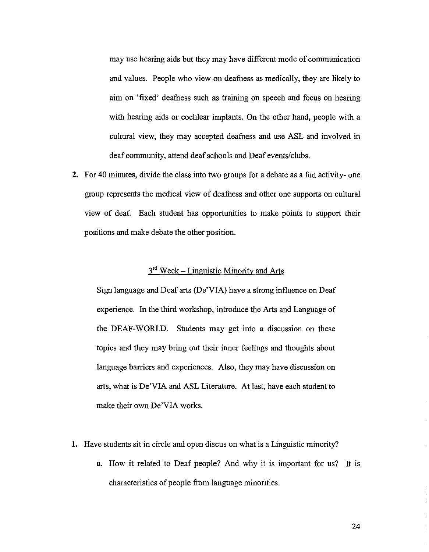may use hearing aids but they may have different mode of communication and values. People who view on deafness as medically, they are likely to aim on 'fixed' deafuess such as training on speech and focus on hearing with hearing aids or cochlear implants. On the other hand, people with a cultural view, they may accepted deafuess and use ASL and involved in deaf community, attend deaf schools and Deaf events/clubs.

**2.** For 40 minutes, divide the class into two groups for a debate as a fun activity- one group represents the medical view of deafuess and other one supports on cultural view of deaf. Each student has opportunities to make points to support their positions and make debate the other position.

# $3<sup>rd</sup>$  Week – Linguistic Minority and Arts

Sign language and Deaf arts (De'VIA) have a strong influence on Deaf experience. In the third workshop, introduce the Arts and Language of the DEAF-WORLD. Students may get into a discussion on these topics and they may bring out their inner feelings and thoughts about language barriers and experiences. Also, they may have discussion on arts, what is De'VIA and ASL Literature. At last, have each student to make their own De'VIA works.

- 1. Have students sit in circle and open discus on what is a Linguistic minority?
	- a. How it related to Deaf people? And why it is important for us? It is characteristics of people from language minorities.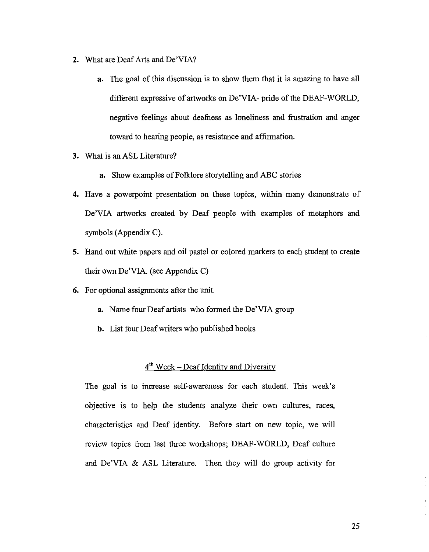- 2. What are Deaf Arts and De'VIA?
	- a. The goal of this discussion is to show them that it is amazing to have all different expressive of artworks on De'VIA- pride of the DEAF-WORLD, negative feelings about deafuess as loneliness and frustration and anger toward to hearing people, as resistance and affirmation.
- **3.** What is an ASL Literature?
	- **a.** Show examples of Folklore storytelling and ABC stories
- 4. Have a powerpoint presentation on these topics, within many demonstrate of De'VIA artworks created by Deaf people with examples of metaphors and symbols (Appendix C).
- **5.** Hand out white papers and oil pastel or colored markers to each student to create their own De'VIA. (see Appendix C)
- **6.** For optional assignments after the unit.
	- **a.** Name four Deaf artists who formed the De'VIA group
	- **b.** List four Deafwriters who published books

## $4<sup>th</sup>$  Week – Deaf Identity and Diversity

The goal is to increase self-awareness for each student. This week's objective is to help the students analyze their own cultures, races, characteristics and Deaf identity. Before start on new topic, we will review topics from last three workshops; DEAF-WORLD, Deaf culture and De'VIA & ASL Literature. Then they will do group activity for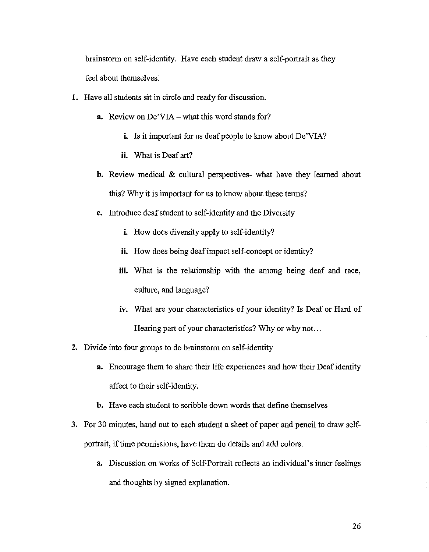brainstorm on self-identity. Have each student draw a self-portrait as they feel about themselves.

- 1. Have all students sit in circle and ready for discussion.
	- a. Review on De'VIA what this word stands for?
		- i. Is it important for us deaf people to know about De'VIA?
		- ii. What is Deaf art?
	- b. Review medical & cultural perspectives- what have they leamed about this? Why it is important for us to know about these terms?
	- c. Introduce deafstudent to self-identity and the Diversity
		- i. How does diversity apply to self-identity?
		- ii. How does being deaf impact self-concept or identity?
		- iii. What is the relationship with the among being deaf and race, culture, and language?
		- iv. What are your characteristics of your identity? Is Deaf or Hard of Hearing part of your characteristics? Why or why not...
- 2. Divide into four groups to do brainstorm on self-identity
	- a. Encourage them to share their life experiences and how their Deafidentity affect to their self-identity.
	- b. Have each student to scribble down words that define themselves
- 3. For 30 minutes, hand out to each student a sheet of paper and pencil to draw selfportrait, if time permissions, have them do details and add colors.
	- a. Discussion on works of Self-Portrait reflects an individual's inner feelings and thoughts by signed explanation.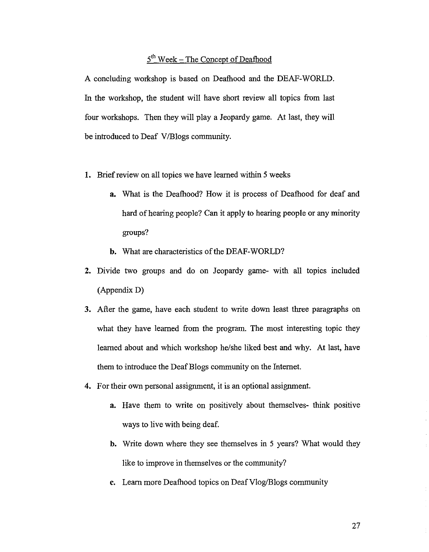# $5<sup>th</sup> Week - The Concept of Deafhood$

A concluding workshop is based on Deafhood and the DEAF-WORLD. In the workshop, the student will have short review all topics from last four workshops. Then they will playa Jeopardy game. At last, they will be introduced to Deaf V/Blogs community.

- 1. Brief review on all topics we have learned within 5 weeks
	- **a.** What is the Deafhood? How it is process of Deafhood for deaf and hard of hearing people? Can it apply to hearing people or any minority groups?
	- **b.** What are characteristics of the DEAF-WORLD?
- **2.** Divide two groups and do on Jeopardy game- with **all** topics included (Appendix D)
- **3.** After the game, have each student to write down least three paragraphs on what they have learned from the program. The most interesting topic they learned about and which workshop he/she liked best and why. At last, have them to introduce the DeafBlogs community on the Internet.
- **4.** For their own personal assignment, it is an optional assignment.
	- **a.** Have them to write on positively about themselves- think positive ways to live with being deaf.
	- **b.** Write down where they see themselves in 5 years? What would they like to improve in themselves or the community?
	- **c.** Learn more Deafhood topics on DeafVlog/Blogs community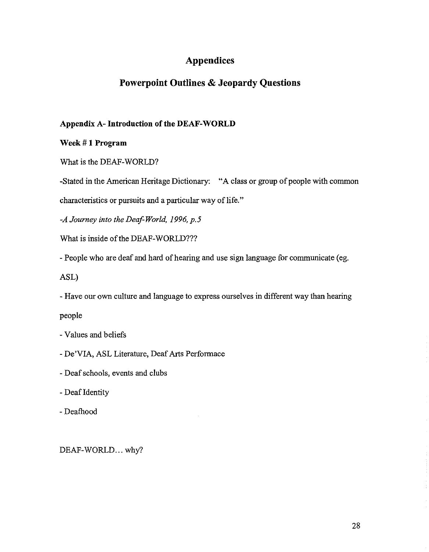# **Appendices**

## **Powerpoint Outlines & Jeopardy Questions**

## **Appendix A- Introduction** of the **DEAF-WORLD**

Week # **1 Program**

What is the DEAF-WORLD?

-Stated in the American Heritage Dictionary: "A class or group of people with common

characteristics or pursuits and a particular way of life."

*-A Journey into the Deaf-World,* 1996, *p.5*

What is inside of the DEAF-WORLD???

- People who are deaf and hard of hearing and use sign language for communicate (eg.

ASL)

- Have our own culture and language to express ourselves in different way than hearing

people

- Values and beliefs
- De'VIA, ASL Literature, Deaf Arts Performace
- Deaf schools, events and clubs
- Deaf Identity
- Deafhood

DEAF-WORLD... why?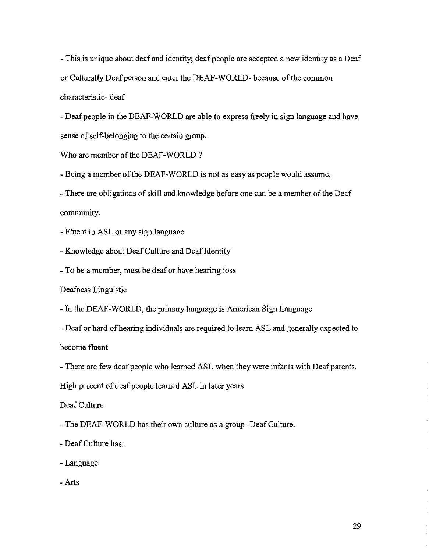- This is unique about deaf and identity; deaf people are accepted a new identity as a Deaf or Culturally Deaf person and enter the DEAF-WORLD- because of the common characteristic- deaf

- Deaf people in the DEAF-WORLD are able to express freely in sign language and have sense of self-belonging to the certain group.

Who are member of the DEAF-WORLD?

- Being a member of the DEAF-WORLD is not as easy as people would assume.

- There are obligations of skill and knowledge before one can be a member of the Deaf community.

- Fluent in ASL or any sign language

- Knowledge about Deaf Culture and Deaf Identity

- To be a member, must be deaf or have hearing loss

Deafness Linguistic

- In the DEAF-WORLD, the primary language is American Sign Language

- Deaf or hard of hearing individuals are required to learn ASL and generally expected to become fluent

- There are few deaf people who learned ASL when they were infants with Deaf parents.

High percent of deaf people learned ASL in later years

Deaf Culture

- The DEAF-WORLD has their own culture as a group- DeafCulture.

- Deaf Culture has...

-Language

- Arts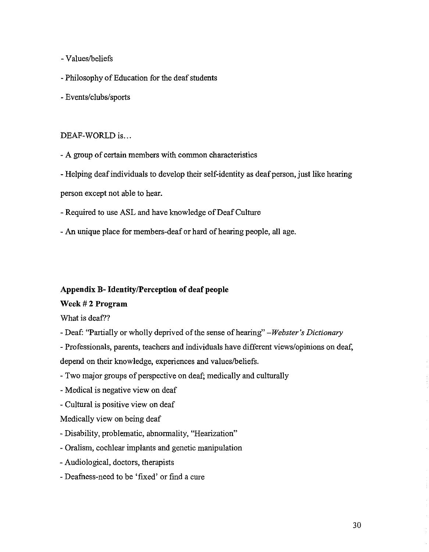- Values/beliefs
- Philosophy of Education for the deaf students
- Events/clubs/sports

### DEAF-WORLD is...

- A group of certain members with common characteristics
- Helping deaf individuals to develop their self-identity as deaf person, just like hearing

person except not able to hear.

- Required to use ASL and have knowledge of Deaf Culture
- An unique place for members-deaf or hard of hearing people, all age.

### **Appendix B- Identity/Perception of deaf people**

### **Week # 2 Program**

What is deaf??

- Deaf: "Partially or wholly deprived ofthe sense ofhearing" *-Webster's Dictionary*

- Professionals, parents, teachers and individuals have different views/opinions on deaf, depend on their knowledge, experiences and values/beliefs.

- Two major groups of perspective on deaf; medically and culturally
- Medical is negative view on deaf
- Cultural is positive view on deaf

Medically view on being deaf

- Disability, problematic, abnormality, "Hearization"
- Oralism, cochlear implants and genetic manipulation
- Audiological, doctors, therapists
- Deafness-need to be 'fixed' or find a cure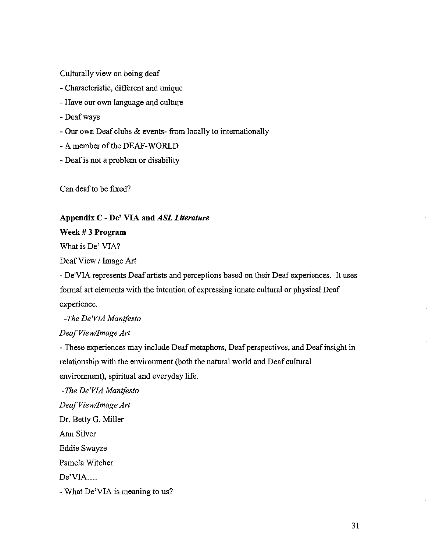Culturally view on being deaf

- Characteristic, different and unique
- Have our own language and culture
- Deafways
- Our own Deaf clubs & events- from locally to internationally
- A member of the DEAF-WORLD
- Deafis not a problem or disability

Can deafto be fixed?

### **Appendix C - De' VIA and** *ASL Literature*

**Week # 3 Program**

What is De' VIA?

DeafView / Image Art

- De'VIA represents Deaf artists and perceptions based on their Deaf experiences. It uses formal art elements with the intention of expressing innate cultural or physical Deaf experience.

*-The De'VIA Manifesto*

*DeafView/Image Art*

- These experiences may include Deaf metaphors, Deaf perspectives, and Deaf insight in relationship with the environment (both the natural world and Deaf cultural environment), spiritual and everyday life.

*-The De'VIA Manifesto DeafView/Image Art* Dr. Betty G. Miller Ann Silver Eddie Swayze Pamela Witcher De'VIA.... - What De'VIA is meaning to us?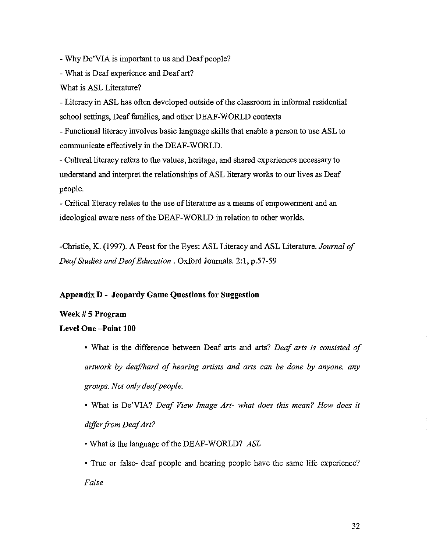- Why De'VIA is important to us and Deaf people?

- What is Deaf experience and Deaf art?

What is ASL Literature?

- Literacy in ASL has often developed outside of the classroom in informal residential school settings, Deaf families, and other DEAF-WORLD contexts

- Functional literacy involves basic language skills that enable a person to use ASL to communicate effectively in the DEAF-WORLD.

- Cultural literacy refers to the values, heritage, and shared experiences necessary to understand and interpret the relationships of ASL literary works to our lives as Deaf people.

- Critical literacy relates to the use of literature as a means of empowerment and an ideological aware ness of the DEAF-WORLD in relation to other worlds.

-Christie, K. (1997). A Feast for the Eyes: ASL Literacy and ASL Literature. *Journal of DeafStudies and DeafEducation* . Oxford Journals. 2:1, p.57-59

## **Appendix D - Jeopardy Game Questions for Suggestion**

## **Week # 5 Program**

### Level **One -Point 100**

- What is the difference between Deaf arts and arts? *Deaf arts is consisted of artwork by deaflhard of hearing artists and arts can be done by anyone, any groups. Not onlydeafpeople.*
- What is De'VIA? *Deaf View Image Art- what does this mean? How does* it *differfrom DeafArt?*
- What is the language of the DEAF-WORLD? *ASL*

• True or false- deaf people and hearing people have the same life experience? *False*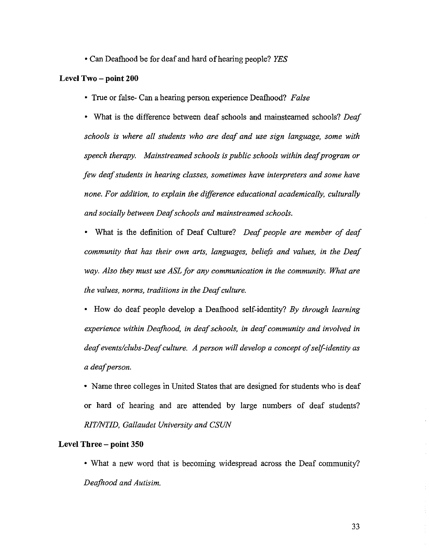• Can Deafhood be for deaf and hard of hearing people? *YES* 

#### **Level Two - point 200**

• True or false- Can a hearing person experience Deafhood? *False* 

<sup>o</sup> What is the difference between deaf schools and mainsteamed schools? *Deaf schools is where all students who are deaf and use sign language, some with speech therapy. Mainstreamed schools is public schools within deafprogram or few deafstudents in hearing classes, sometimes have interpreters and some have none. For addition, to explain the difference educational academically, culturally and socially between Deafschools and mainstreamed schools.*

• What is the definition of Deaf Culture? *Deaf people are member of deaf community that has their own arts, languages, beliefs and values, in the Deaf way. Also they must use ASL for any communication in the community. What are the values, norms, traditions in the Deafculture.*

<sup>o</sup> How do deaf people develop a Deafhood self-identity? *By through learning experience within Deafhood, in deafschools, in deaf community and involved in deafevents/clubs-Deafculture. A person will develop a concept ofself-identity as a deafperson.*

• Name three colleges in United States that are designed for students who is deaf or hard of hearing and are attended by large numbers of deaf students? *RITINTID, Gallaudet University and CSUN*

#### Level Three - **point 350**

• What a new word that is becoming widespread across the Deaf community? *Deafhood and Autisim.*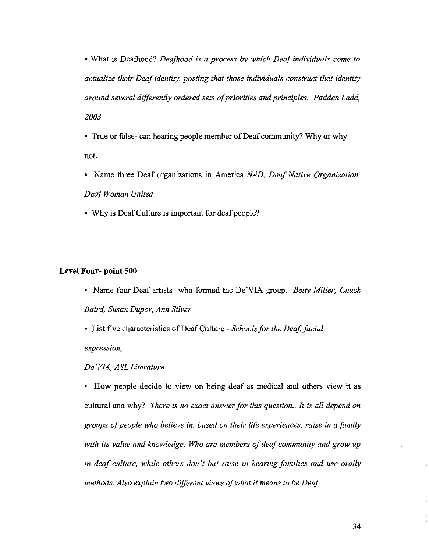• What is Deafhood? *Deafhood is a process by which Deaf individuals come to actualize their Deafidentity, posting that those individuals construct that identity around several differently ordered sets ofpriorities and principles. Padden Ladd, 2003*

• True or false- can hearing people member of Deaf community? Why or why not.

- Name three Deaf organizations in America *NAD, Deaf Native Organization, DeafWoman United*
- Why is Deaf Culture is important for deaf people?

#### **Level Four- point 500**

• Name four Deaf artists who formed the De'VIA group. *Betty Miller, Chuck Baird, Susan Dupor, Ann Silver*

• List five characteristics ofDeafCulture - *Schoolsfor the Deaf, facial expression,*

#### *De 'VIA, ASL Literature*

• How people decide to view on being deaf as medical and others view it as cultural and why? *There is no exact answerfor this question.. It is all depend on groups ofpeople who believe in, based on their life experiences, raise in a family with its value and knowledge. Who are members of deaf community and grow up in deaf culture, while others don't but raise in hearing families and use orally methods. Also explain two different views ofwhat it means to be Deaf*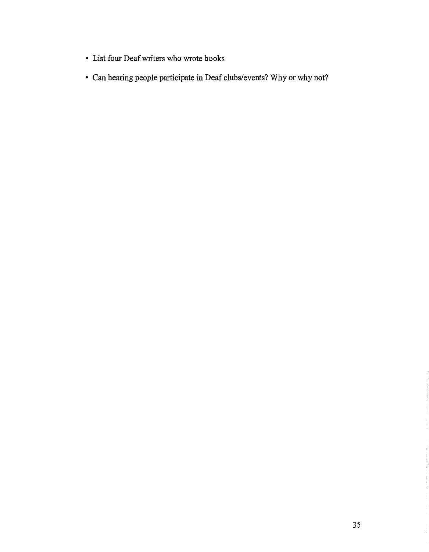- List four Deafwriters who wrote books
- Can hearing people participate in Deaf clubs/events? Why or why not?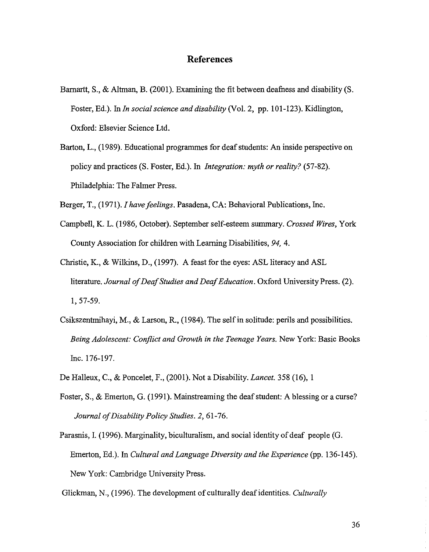## **References**

- Barnartt, S., & Altman, B. (2001). Examining the fit between deafness and disability  $(S, \mathcal{E})$ Foster, Ed.). In *In social science and disability* (Vol. 2, pp. 101-123). Kidlington, Oxford: Elsevier Science Ltd.
- Barton, L., (1989). Educational programmes for deaf students: An inside perspective on policy and practices (S. Foster, Ed.). In *Integration: myth or reality? (57-82).* Philadelphia: The Falmer Press.

Berger, T., (1971). *I have feelings*, Pasadena, CA: Behavioral Publications, Inc.

- Campbell, K. L. (1986, October). September self-esteem summary. *Crossed Wires,* York County Association for children with Learning Disabilities, 94, 4.
- Christie, K., & Wilkins, D., (1997). A feast for the eyes: ASL literacy and ASL literature. *Journal ofDeafStudies and DeafEducation.* Oxford University Press. (2). 1,57-59.
- Csikszentmihayi, M., & Larson, R., (1984). The selfin solitude: perils and possibilities. *Being Adolescent: Conflict and Growth in the Teenage Years.* New York: Basic Books Inc. 176-197.
- De Halleux, C., & Poncelet, F., (2001). Not a Disability. *Lancet.* 358 (16),1
- Foster, S., & Emerton, G. (1991). Mainstreaming the deafstudent: A blessing or a curse? *Journal ofDisability Policy Studies.* 2, 61-76.
- Parasnis, I. (1996). Marginality, biculturalism, and social identity of deaf people (G. Emerton, Ed.). In *Cultural and Language Diversity and the Experience* (pp. 136-145). New York: Cambridge University Press.

Glickman, N., (1996). The development of culturally deafidentities. *Culturally*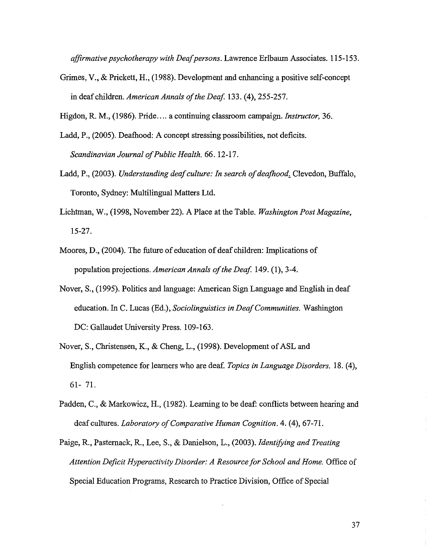*affirmative psychotherapy with Deafpersons.* Lawrence Eribaum Associates. 115-153.

Grimes, V., & Prickett, H., (1988). Development and enhancing a positive self-concept in deaf children. *American Annals of the Deaf.* 133. (4), 255-257.

Higdon, R. M., (1986). Pride.... a continuing classroom campaign. *Instructor, 36.*

- Ladd, P., (2005). Deafhood: A concept stressing possibilities, not deficits. *Scandinavian Journal ofPublic Health.* 66. 12-17.
- Ladd, P., (2003). *Understanding deaf culture: In search of deafhood*. Clevedon, Buffalo, Toronto, Sydney: Multilingual Matters Ltd.
- Lichtman, W., (1998, November 22). A Place at the Table. *Washington Post Magazine,* 15-27.
- Moores, D., (2004). The future of education of deaf children: Implications of population projections. *American Annals ofthe Deaf* 149. (I), 3-4.
- Nover, S., (1995). Politics and language: American Sign Language and English in deaf education. In C. Lucas (Ed.), *Sociolinguistics in DeafCommunities.* Washington DC: Gallaudet University Press. 109-163.
- Nover, S., Christensen, K., & Cheng, L., (1998). Development of ASL and English competence for learners who are deaf. *Topics in Language Disorders.* 18. (4), 61- 71.
- Padden, C., & Markowicz, H., (1982). Learning to be deaf: conflicts between hearing and deaf cultures. *Laboratory ofComparative Human Cognition.* 4. (4), 67-71.
- Paige, R., Pasternack, R., Lee, S., & Danielson, L., (2003). *Identifying and Treating Attention Deficit Hyperactivity Disorder: A Resource for School and Home.* Office of Special Education Programs, Research to Practice Division, Office of Special